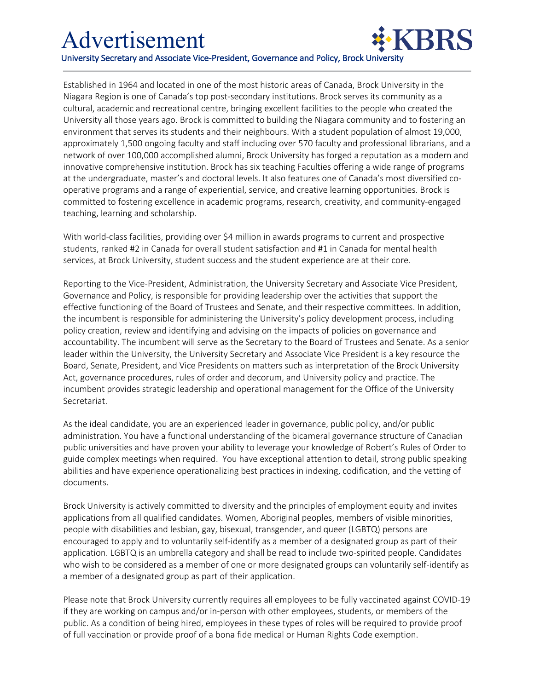cultural, academic and recreational centre, bringing excellent facilities to the people who created the Established in 1964 and located in one of the most historic areas of Canada, Brock University in the Niagara Region is one of Canada's top post-secondary institutions. Brock serves its community as a University all those years ago. Brock is committed to building the Niagara community and to fostering an environment that serves its students and their neighbours. With a student population of almost 19,000, approximately 1,500 ongoing faculty and staff including over 570 faculty and professional librarians, and a network of over 100,000 accomplished alumni, Brock University has forged a reputation as a modern and innovative comprehensive institution. Brock has six teaching Faculties offering a wide range of programs at the undergraduate, master's and doctoral levels. It also features one of Canada's most diversified cooperative programs and a range of experiential, service, and creative learning opportunities. Brock is committed to fostering excellence in academic programs, research, creativity, and community-engaged teaching, learning and scholarship.

With world-class facilities, providing over \$4 million in awards programs to current and prospective students, ranked #2 in Canada for overall student satisfaction and #1 in Canada for mental health services, at Brock University, student success and the student experience are at their core.

Reporting to the Vice-President, Administration, the University Secretary and Associate Vice President, Governance and Policy, is responsible for providing leadership over the activities that support the effective functioning of the Board of Trustees and Senate, and their respective committees. In addition, the incumbent is responsible for administering the University's policy development process, including policy creation, review and identifying and advising on the impacts of policies on governance and accountability. The incumbent will serve as the Secretary to the Board of Trustees and Senate. As a senior leader within the University, the University Secretary and Associate Vice President is a key resource the Board, Senate, President, and Vice Presidents on matters such as interpretation of the Brock University Act, governance procedures, rules of order and decorum, and University policy and practice. The incumbent provides strategic leadership and operational management for the Office of the University Secretariat.

As the ideal candidate, you are an experienced leader in governance, public policy, and/or public administration. You have a functional understanding of the bicameral governance structure of Canadian public universities and have proven your ability to leverage your knowledge of Robert's Rules of Order to guide complex meetings when required. You have exceptional attention to detail, strong public speaking abilities and have experience operationalizing best practices in indexing, codification, and the vetting of documents.

Brock University is actively committed to diversity and the principles of employment equity and invites applications from all qualified candidates. Women, Aboriginal peoples, members of visible minorities, people with disabilities and lesbian, gay, bisexual, transgender, and queer (LGBTQ) persons are encouraged to apply and to voluntarily self-identify as a member of a designated group as part of their application. LGBTQ is an umbrella category and shall be read to include two-spirited people. Candidates who wish to be considered as a member of one or more designated groups can voluntarily self-identify as a member of a designated group as part of their application.

Please note that Brock University currently requires all employees to be fully vaccinated against COVID-19 if they are working on campus and/or in-person with other employees, students, or members of the public. As a condition of being hired, employees in these types of roles will be required to provide proof of full vaccination or provide proof of a bona fide medical or Human Rights Code exemption.